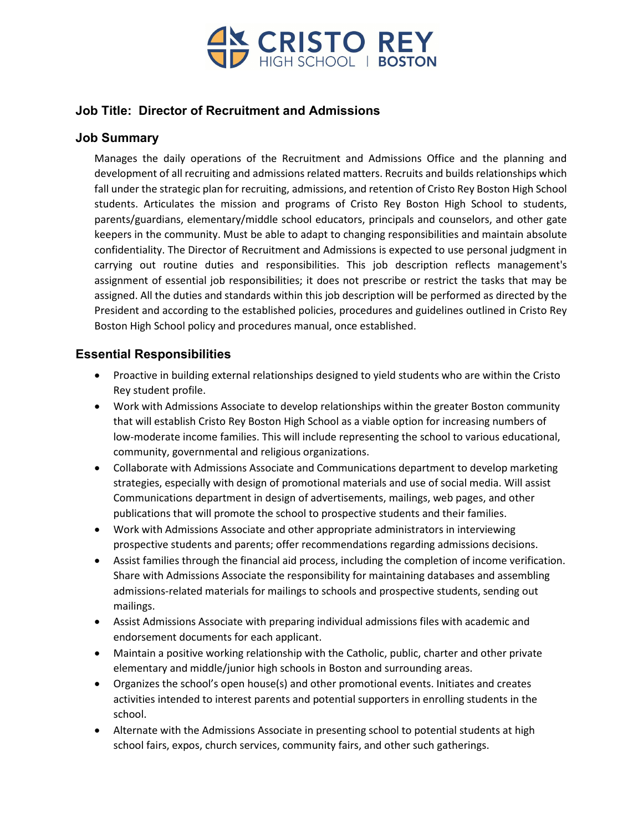

## **Job Title: Director of Recruitment and Admissions**

# **Job Summary**

Manages the daily operations of the Recruitment and Admissions Office and the planning and development of all recruiting and admissions related matters. Recruits and builds relationships which fall under the strategic plan for recruiting, admissions, and retention of Cristo Rey Boston High School students. Articulates the mission and programs of Cristo Rey Boston High School to students, parents/guardians, elementary/middle school educators, principals and counselors, and other gate keepers in the community. Must be able to adapt to changing responsibilities and maintain absolute confidentiality. The Director of Recruitment and Admissions is expected to use personal judgment in carrying out routine duties and responsibilities. This job description reflects management's assignment of essential job responsibilities; it does not prescribe or restrict the tasks that may be assigned. All the duties and standards within this job description will be performed as directed by the President and according to the established policies, procedures and guidelines outlined in Cristo Rey Boston High School policy and procedures manual, once established.

# **Essential Responsibilities**

- Proactive in building external relationships designed to yield students who are within the Cristo Rey student profile.
- Work with Admissions Associate to develop relationships within the greater Boston community that will establish Cristo Rey Boston High School as a viable option for increasing numbers of low-moderate income families. This will include representing the school to various educational, community, governmental and religious organizations.
- Collaborate with Admissions Associate and Communications department to develop marketing strategies, especially with design of promotional materials and use of social media. Will assist Communications department in design of advertisements, mailings, web pages, and other publications that will promote the school to prospective students and their families.
- Work with Admissions Associate and other appropriate administrators in interviewing prospective students and parents; offer recommendations regarding admissions decisions.
- Assist families through the financial aid process, including the completion of income verification. Share with Admissions Associate the responsibility for maintaining databases and assembling admissions-related materials for mailings to schools and prospective students, sending out mailings.
- Assist Admissions Associate with preparing individual admissions files with academic and endorsement documents for each applicant.
- Maintain a positive working relationship with the Catholic, public, charter and other private elementary and middle/junior high schools in Boston and surrounding areas.
- Organizes the school's open house(s) and other promotional events. Initiates and creates activities intended to interest parents and potential supporters in enrolling students in the school.
- Alternate with the Admissions Associate in presenting school to potential students at high school fairs, expos, church services, community fairs, and other such gatherings.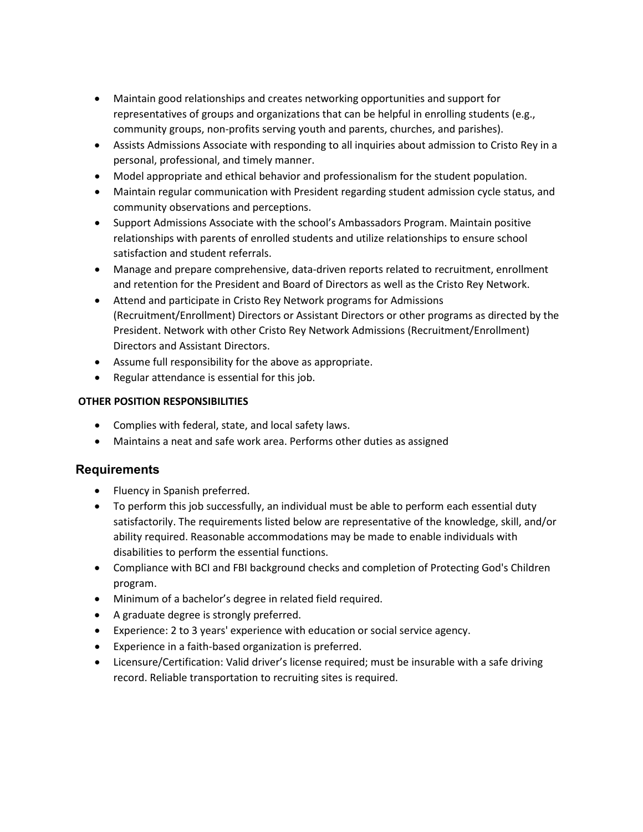- Maintain good relationships and creates networking opportunities and support for representatives of groups and organizations that can be helpful in enrolling students (e.g., community groups, non-profits serving youth and parents, churches, and parishes).
- Assists Admissions Associate with responding to all inquiries about admission to Cristo Rey in a personal, professional, and timely manner.
- Model appropriate and ethical behavior and professionalism for the student population.
- Maintain regular communication with President regarding student admission cycle status, and community observations and perceptions.
- Support Admissions Associate with the school's Ambassadors Program. Maintain positive relationships with parents of enrolled students and utilize relationships to ensure school satisfaction and student referrals.
- Manage and prepare comprehensive, data-driven reports related to recruitment, enrollment and retention for the President and Board of Directors as well as the Cristo Rey Network.
- Attend and participate in Cristo Rey Network programs for Admissions (Recruitment/Enrollment) Directors or Assistant Directors or other programs as directed by the President. Network with other Cristo Rey Network Admissions (Recruitment/Enrollment) Directors and Assistant Directors.
- Assume full responsibility for the above as appropriate.
- Regular attendance is essential for this job.

#### **OTHER POSITION RESPONSIBILITIES**

- Complies with federal, state, and local safety laws.
- Maintains a neat and safe work area. Performs other duties as assigned

#### **Requirements**

- Fluency in Spanish preferred.
- To perform this job successfully, an individual must be able to perform each essential duty satisfactorily. The requirements listed below are representative of the knowledge, skill, and/or ability required. Reasonable accommodations may be made to enable individuals with disabilities to perform the essential functions.
- Compliance with BCI and FBI background checks and completion of Protecting God's Children program.
- Minimum of a bachelor's degree in related field required.
- A graduate degree is strongly preferred.
- Experience: 2 to 3 years' experience with education or social service agency.
- Experience in a faith-based organization is preferred.
- Licensure/Certification: Valid driver's license required; must be insurable with a safe driving record. Reliable transportation to recruiting sites is required.